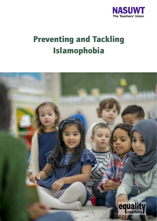

# Preventing and Tackling Islamophobia

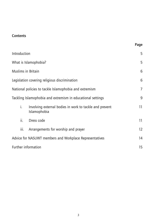# **Contents**

|                                                             |                                                                         | Page              |
|-------------------------------------------------------------|-------------------------------------------------------------------------|-------------------|
| Introduction                                                |                                                                         | 5                 |
| What is Islamophobia?                                       |                                                                         | 5                 |
| Muslims in Britain                                          |                                                                         | 6                 |
| Legislation covering religious discrimination               |                                                                         | 6                 |
| National policies to tackle Islamophobia and extremism      |                                                                         | 7                 |
| Tackling Islamophobia and extremism in educational settings |                                                                         | 9                 |
| i.                                                          | Involving external bodies in work to tackle and prevent<br>Islamophobia | 11                |
| ii.                                                         | Dress code                                                              | 11                |
| iii.                                                        | Arrangements for worship and prayer                                     | $12 \overline{ }$ |
| Advice for NASUWT members and Workplace Representatives     |                                                                         | 14                |
| Further information                                         |                                                                         | 15                |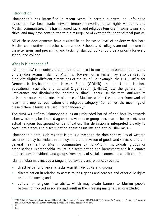# Introduction

Islamophobia has intensified in recent years. In certain quarters, an unfounded association has been made between terrorist networks, human rights violations and Muslim communities. This has inflamed racial and religious tensions in some towns and cities, and may have contributed to the resurgence of extreme far-right political parties.

All of these developments have resulted in an increased level of anxiety within both Muslim communities and other communities. Schools and colleges are not immune to these tensions, and preventing and tackling Islamophobia should be a priority for every school and college.

## What is Islamophobia?

'Islamophobia' is a contested term. It is often used to mean an unfounded fear, hatred or prejudice against Islam or Muslims. However, other terms may also be used to highlight slightly different dimensions of the issue.<sup>1</sup> For example, the OSCE Office for Democratic Institutions and Human Rights (ODIHR) and the United Nations Educational, Scientific and Cultural Organisation (UNESCO) use the general term 'intolerance and discrimination against Muslims'. Others use the term 'anti-Muslim racism' because this locates intolerance of Muslims within the broader framework of racism and implies racialisation of a religious category.<sup>2</sup> Sometimes, the meanings of these different terms are used interchangeably.<sup>3</sup>

The NASUWT defines 'Islamophobia' as an unfounded hatred of and hostility towards Islam which may be directed against individuals or groups because of their perceived or actual religious background or identification. This definition is interpreted broadly to cover intolerance and discrimination against Muslims and anti-Muslim racism.

Islamophobia entails claims that Islam is a threat to the dominant values of western societies. It may be evident in employment, the provision of goods and services, and the general treatment of Muslim communities by non-Muslim individuals, groups or organisations. Islamophobia results in discrimination and harassment and it alienates and excludes individuals and groups from areas of social, economic and political life.

Islamophobia may include a range of behaviours and practices such as:

- direct verbal or physical attacks against individuals and groups;
- discrimination in relation to access to jobs, goods and services and other civic rights and entitlements; and
- cultural or religious insensitivity, which may create barriers to Muslim people becoming involved in society and result in them feeling marginalised or excluded.

<sup>1</sup> OSCE Office for Democratic Institutions and Human Rights, Council for Europe and UNESCO (2011) *Guidelines for Educators on Countering Intolerance and Discrimination against Muslims: Addressing Islamophobia through Education,* Warsaw.

 $\frac{2}{3}$  Ibid. <sup>3</sup> Ibid.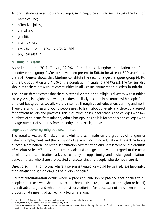Amongst students in schools and colleges, such prejudice and racism may take the form of:

- name-calling;
- offensive 'jokes';
- verbal assault;
- graffiti;
- intimidation;
- exclusion from friendship groups; and
- physical assault.

# Muslims in Britain

According to the 2011 Census, 12.9% of the United Kingdom population are from minority ethnic groups.<sup>4</sup> Muslims have been present in Britain for at least 300 years<sup>s</sup> and the 2011 Census shows that Muslims constitute the second largest religious group (4.4% of the UK population and 4.8% of the population in England and Wales). The Census also shows that there are Muslim communities in all Census enumeration districts in Britain.

The Census demonstrates that there is extensive ethnic and religious diversity within British society. Also, in a globalised world, children are likely to come into contact with people from different backgrounds socially via the internet, through travel, education, training and work. Therefore, all children and young people need to learn about diversity and develop a respect for different beliefs and practices. This is as much an issue for schools and colleges with low numbers of students from minority ethnic backgrounds as it is for schools and colleges with a large number of students from minority ethnic backgrounds.

# Legislation covering religious discrimination

The Equality Act 2010 makes it unlawful to discriminate on the grounds of religion or belief in employment and the provision of services, including education. The Act prohibits direct discrimination, indirect discrimination, victimisation and harassment on the grounds of religion or belief.<sup>6</sup> It also requires schools and colleges to have due regard to the need to eliminate discrimination, advance equality of opportunity and foster good relations between those who share a protected characteristic and people who do not share it.

Direct discrimination occurs where a person is treated, or would be treated, less favourably than another person on grounds of religion or belief.

Indirect discrimination occurs where a provision, criterion or practice that applies to all people puts those who share a protected characteristic (e.g. a particular religion or belief) at a disadvantage and where the provision/criterion/practice cannot be shown to be a proportionate means of achieving a legitimate aim.

<sup>4</sup> Taken from the Office for National Statistics website, data on ethnic group for local authorities in the UK.

<sup>5</sup> Runnymede Trust, *Islamophobia: A Challenge for Us All*, 1997.

<sup>&</sup>lt;sup>6</sup> There are some exceptions for schools of religious character and some areas of education, e.g. the content of curriculum is not covered by the legislation. See the EHRC website for further information.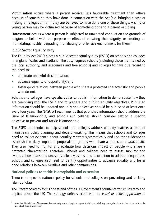Victimisation occurs where a person receives less favourable treatment than others because of something they have done in connection with the Act (e.g. bringing a case or making an allegation) or if they are believed to have done one of these things. A child or young person may be victimised because of something done to a parent or sibling.

Harassment occurs where a person is subjected to unwanted conduct on the grounds of religion or belief with the purpose or effect of violating their dignity, or creating an intimidating, hostile, degrading, humiliating or offensive environment for them.<sup>7</sup>

# Public Sector Equality Duty

The Equality Act 2010 places a public sector equality duty (PSED) on schools and colleges in England, Wales and Scotland. The duty requires schools (including those maintained by the local authority, and academies and free schools) and colleges to have due regard to the need to:

- eliminate unlawful discrimination;
- advance equality of opportunity; and
- foster good relations between people who share a protected characteristic and people who do not.

Schools and colleges have specific duties to publish information to demonstrate how they are complying with the PSED and to prepare and publish equality objectives. Published information should be updated annually and objectives should be published at least once every four years. The NASUWT recommends that published information should address the issue of Islamophobia, and schools and colleges should consider setting a specific objective to prevent and tackle Islamophobia.

The PSED is intended to help schools and colleges address equality matters as part of mainstream policy planning and decision-making. This means that schools and colleges need to collect evidence about equality matters systematically and use that evidence to establish the likely impact of proposals on groups who share a protected characteristic. They also need to monitor and evaluate how decisions impact on people who share a protected characteristic. Therefore, schools and colleges need to assess, monitor and evaluate how plans and decisions affect Muslims, and take action to address inequalities. Schools and colleges also need to identify opportunities to advance equality and foster good relations between Muslims and other communities.

National policies to tackle Islamophobia and extremism

There is no specific national policy for schools and colleges on preventing and tackling Islamophobia.

The Prevent Strategy forms one strand of the UK Government's counter-terrorism strategy and applies across the UK. The strategy defines extremism as: *'vocal or active opposition to*

Note that this definition of harassment does not apply to school pupils in respect of religion or belief. Any case against the school would be made on the grounds of direct discrimination.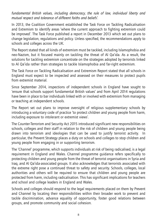*fundamental British values, including democracy, the rule of law, individual liberty and mutual respect and tolerance of different faiths and beliefs'*.

In 2013, the Coalition Government established the Task Force on Tackling Radicalisation and Extremism to identify areas 'where the current approach to fighting extremism could be improved'. The Task Force published a report in December 2013 which set out plans to change legislation, regulations and policy. Unless specified, the recommendations apply to schools and colleges across the UK.

The Report stated that all kinds of extremism must be tackled, including Islamophobia and neo-Nazism, but it focused mainly on tackling the threat of Al Qa'ida. As a result, the solutions for tackling extremism concentrate on the strategies adopted by terrorists linked to Al Qa'ida rather than strategies to tackle Islamophobia and far-right extremism.

The Task Force on Tackling Radicalisation and Extremism Report stated that all schools in England must expect to be inspected and assessed on their measures to protect pupils from extremist material.

Since September 2014, inspections of independent schools in England have sought to 'ensure that schools support fundamental British values' and from April 2014 regulations have been in place to bar individuals linked with or involved with extremism from managing or teaching at independent schools.

The Report set out plans to improve oversight of religious supplementary schools by introducing a voluntary code of practice 'to protect children and young people from harm, including exposure to intolerant or extremist views'.

The Counter-Terrorism and Security Act 2015 introduced significant new responsibilities on schools, colleges and their staff in relation to the risk of children and young people being drawn into terrorism and ideologies that can be used to justify terrorist activity. In particular, the Prevent Strategy places a duty on schools and colleges to stop children and young people from engaging in or supporting terrorism.

The 'Channel' programme, which supports individuals at risk of being radicalised, is a legal requirement in England and Wales. Channel programme guidance refers specifically to protecting children and young people from the threat of terrorist organisations in Syria and Iraq, and Al Qa'ida-associated groups. It also acknowledges that terrorists associated with the extreme right pose a continued threat to safety and security. Schools, colleges, local authorities and others will be required to ensure that children and young people are protected from harm, including radicalisation. This has significant implications for teachers and school and college leaders in England and Wales.

Schools and colleges should respond to the legal requirements placed on them by Prevent and Channel by locating their responsibilities within their broader work to prevent and tackle discrimination, advance equality of opportunity, foster good relations between groups, and promote community and social cohesion.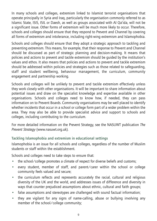In many schools and colleges, extremism linked to Islamist terrorist organisations that operate principally in Syria and Iraq, particularly the organisation commonly referred to as Islamic State, ISIS, ISIL or Daesh, as well as groups associated with Al Qa'ida, will not be a significant issue. Other forms of extremism will be much more likely to occur. Therefore, schools and colleges should ensure that they respond to Prevent and Channel by covering all forms of extremism and intolerance, including right-wing extremism and Islamophobia.

Schools and colleges should ensure that they adopt a strategic approach to tackling and preventing extremism. This means, for example, that their response to Prevent and Channel should be discussed as part of strategic planning and decision-making. It means that policies and actions to prevent and tackle extremism should be guided by the institution's values and ethos. It also means that policies and actions to prevent and tackle extremism should be addressed within policies and strategies such as those related to safeguarding, staff and student wellbeing, behaviour management, the curriculum, community engagement and partnership working.

Schools and colleges will be unlikely to prevent and tackle extremism effectively unless they work closely with other organisations. It will be important to share information about potential issues and draw on the specialist knowledge and expertise available in other organisations. Schools and colleges need to know how, if needed, they can pass information on to Prevent Boards. Community organisations may be well placed to identify whether incidents that occur in a school or college form part of a wider problem within the area. They may also be able to provide specialist advice and support to schools and colleges, including contributing to the curriculum.

For more detailed information on the Prevent Strategy, see the NASUWT publication *The Prevent Strategy* (www.nasuwt.org.uk).

## Tackling Islamophobia and extremism in educational settings

Islamophobia is an issue for all schools and colleges, regardless of the number of Muslim students or staff within the establishment.

Schools and colleges need to take steps to ensure that:

- the school/college promotes a climate of respect for diverse beliefs and customs;
- every student, member of staff, and parent/carer within the school or college community feels valued and secure;
- the curriculum reflects and represents accurately the racial, cultural and religious diversity of the UK and the world, and addresses issues of difference and diversity in ways that counter prejudiced assumptions about ethnic, cultural and faith groups;
- false assumptions and stereotypes are challenged with sound factual information;
- they are vigilant for any signs of name-calling, abuse or bullying involving any member of the school/college community;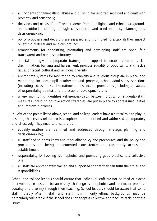- all incidents of name-calling, abuse and bullying are reported, recorded and dealt with promptly and sensitively;
- the views and needs of staff and students from all religious and ethnic backgrounds are identified, including through consultation, and used in policy planning and decision-making;
- policy proposals and decisions are assessed and monitored to establish their impact on ethnic, cultural and religious grounds;
- arrangements for appointing, promoting and developing staff are open, fair, transparent and non-discriminatory;
- all staff are given appropriate training and support to enable them to tackle discrimination, bullying and harassment, promote equality of opportunity and tackle issues of racial, cultural and religious diversity;
- appropriate systems for monitoring by ethnicity and religious group are in place, and monitoring includes pupil attainment and progress, school admissions, sanctions (including exclusion), staff recruitment and selection, promotions (including the award of responsibility points), and professional development; and
- where monitoring identifies differences/gaps between groups of students/staff, measures, including positive action strategies, are put in place to address inequalities and improve outcomes.

In light of the points listed above, school and college leaders have a critical role to play in ensuring that issues related to Islamophobia are identified and addressed appropriately and effectively. They need to ensure that:

- equality matters are identified and addressed through strategic planning and decision-making;
- all staff and students know about equality policy and procedures, and the policy and procedures are being implemented consistently and coherently across the establishment;
- responsibility for tackling Islamophobia and promoting good practice is a collective one;
- all staff are appropriately trained and supported so that they can fulfil their roles and responsibilities.

School and college leaders should ensure that individual staff are not isolated or placed in a vulnerable position because they challenge Islamophobia and racism, or promote equality and diversity through their teaching. School leaders should be aware that some staff, notably Muslim staff and staff from minority ethnic backgrounds, may be particularly vulnerable if the school does not adopt a collective approach to tackling these issues.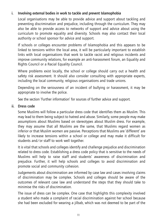## i. Involving external bodies in work to tackle and prevent Islamophobia

Local organisations may be able to provide advice and support about tackling and preventing discrimination and prejudice, including through the curriculum. They may also be able to provide access to networks of support and advice about using the curriculum to promote equality and diversity. Schools may also contact their local authority or school sponsor for advice and support.

If schools or colleges encounter problems of Islamophobia and this appears to be linked to tensions within the local area, it will be particularly important to establish links with local organisations that work to tackle racist and religious incidents and improve community relations, for example an anti-harassment forum, an Equality and Rights Council or a Racial Equality Council.

Where problems exist locally, the school or college should carry out a health and safety risk assessment. It should also consider consulting with appropriate experts, including the local community, religious organisations and trade unions.

Depending on the seriousness of an incident of bullying or harassment, it may be appropriate to involve the police.

See the section 'Further information' for sources of further advice and support.

#### ii. Dress code

Some Muslims will follow a particular dress code that identifies them as Muslim. This may lead to them being subject to hatred and abuse. Similarly, some people may make assumptions about Muslims based on stereotypes about Muslim dress. For example, they may assume that all Muslims are the same, that Muslims regard women as inferior or that Muslim women are passive. Perceptions that Muslims are 'different' are likely to increase tensions within a school or college and may make it difficult for students and/or staff to work well together.

It is vital that schools and colleges identify and challenge prejudice and discrimination related to dress code. Establishing a dress code policy that is sensitive to the needs of Muslims will help to raise staff and students' awareness of discrimination and prejudice. Further, it will help schools and colleges to avoid discrimination and promote social and community cohesion.

Judgements about discrimination are informed by case law and cases involving claims of discrimination may be complex. Schools and colleges should be aware of the outcomes of relevant case law and understand the steps that they should take to minimise the risks of discrimination.

The issue of dress can be complex. One case that highlights this complexity involved a student who made a complaint of racial discrimination against her school because she had been excluded for wearing a jilbab, which was not deemed to be part of the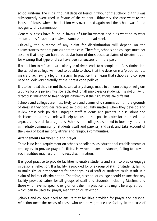school uniform. The initial tribunal decision found in favour of the school, but this was subsequently overturned in favour of the student. Ultimately, the case went to the House of Lords, where the decision was overturned again and the school was found not guilty of discrimination.

Generally, cases have found in favour of Muslim women and girls wanting to wear 'modest dress' such as a shalwar kameez and a head scarf.

Critically, the outcome of any claim for discrimination will depend on the circumstances that are particular to the case. Therefore, schools and colleges must not assume that they can ban a particular form of dress because claims of discrimination for wearing that type of dress have been unsuccessful in the past.

If a decision to refuse a particular type of dress leads to a complaint of discrimination, the school or college will need to be able to show that the decision is a 'proportionate means of achieving a legitimate aim'. In practice, this means that schools and colleges need to look very carefully at their dress code policies.

It is to be noted that it is not the case that any change made to uniform policy on religious grounds for one person must be replicated for all employees or students. It is not unlawful direct discrimination to treat people differently if their situations are different.

Schools and colleges are most likely to avoid claims of discrimination on the grounds of dress if they consider race and religious equality matters when they develop and review dress code policies. Engaging staff, students and parents in discussions and decisions about dress code will help to ensure that policies cater for the needs and expectations of different groups. Schools and colleges also need to look beyond their immediate community (of students, staff and parents) and seek and take account of the views of local minority ethnic and religious communities.

#### iii. Arrangements for worship and prayer

There is no legal requirement on schools or colleges, as educational establishments or employers, to provide prayer facilities. However, in some instances, failing to provide such facilities may result in indirect discrimination.

It is good practice to provide facilities to enable students and staff to pray or engage in personal reflection. If a facility is provided for one group of staff or students, failing to make similar arrangements for other groups of staff or students could result in a claim of indirect discrimination. Therefore, a school or college should ensure that any facility provided caters for all groups of staff and students, including Muslims and those who have no specific religion or belief. In practice, this might be a quiet room which can be used for prayer, meditation or reflection.

Schools and colleges need to ensure that facilities provided for prayer and personal reflection meet the needs of those who use or might use the facility. In the case of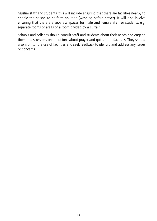Muslim staff and students, this will include ensuring that there are facilities nearby to enable the person to perform ablution (washing before prayer). It will also involve ensuring that there are separate spaces for male and female staff or students, e.g. separate rooms or areas of a room divided by a curtain.

Schools and colleges should consult staff and students about their needs and engage them in discussions and decisions about prayer and quiet-room facilities. They should also monitor the use of facilities and seek feedback to identify and address any issues or concerns.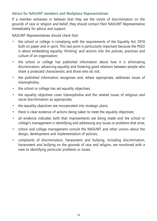## Advice for NASUWT members and Workplace Representatives

If a member witnesses or believes that they are the victim of discrimination on the grounds of race or religion and belief, they should contact their NASUWT Representative immediately for advice and support.

NASUWT Representatives should check that:

- the school or college is complying with the requirements of the Equality Act 2010 both on paper and in spirit. This last point is particularly important because the PSED is about embedding equality 'thinking' and actions into the policies, practices and culture of an organisation;
- the school or college has published information about how it is eliminating discrimination, advancing equality and fostering good relations between people who share a protected characteristic and those who do not;
- the published information recognises and, where appropriate, addresses issues of Islamophobia;
- the school or college has set equality objectives;
- the equality objectives cover Islamophobia and the related issues of religious and racial discrimination as appropriate;
- the equality objectives are incorporated into strategic plans;
- there is clear evidence of actions being taken to meet the equality objectives;
- all evidence indicates both that improvements are being made and the school or college's management is identifying and addressing any issues or problems that arise;
- school and college management consult the NASUWT and other unions about the design, development and implementation of policies;
- complaints of discrimination, harassment and bullying, including discrimination, harassment and bullying on the grounds of race and religion, are monitored with a view to identifying particular problems or issues.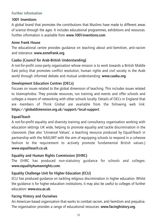## Further information

# 1001 Inventions

A global brand that promotes the contributions that Muslims have made to different areas of science through the ages. It includes educational programmes, exhibitions and resources. Further information is available from www.1001inventions.com.

## Anne Frank House

The educational centre provides guidance on teaching about anti-Semitism, anti-racism and tolerance: www.annefrank.org.

# Caabu (Council for Arab-British Understanding)

A not-for-profit cross-party organisation whose mission is to work towards a British Middle East policy that promotes conflict resolution, human rights and civil society in the Arab world through informed debate and mutual understanding: www.caabu.org.

# Development Education Centres (DECs)

Focuses on issues related to the global dimension of teaching. This includes issues related to Islamophobia. They provide resources, run training and events and offer schools and colleges a means of networking with other schools locally. Details of DECs in England that are members of Think Global are available from the following web link: https://globaldimension.org.uk/support/local-support.

# **EqualiTeach**

A not-for-profit equality and diversity training and consultancy organisation working with education settings UK wide, helping to promote equality and tackle discrimination in the classroom. (See also 'Universal Values', a teaching resource produced by EqualiTeach in partnership with the NASUWT with the aim of equipping schools to respond in a cohesive fashion to the requirement to actively promote fundamental British values.) www.equaliteach.co.uk.

# Equality and Human Rights Commission (EHRC)

The EHRC has produced non-statutory guidance for schools and colleges: www.equalityhumanrights.com.

# Equality Challenge Unit for Higher Education (ECU)

ECU has produced guidance on tackling religious discrimination in higher education. Whilst the guidance is for higher education institutions, it may also be useful to colleges of further education: www.ecu.ac.uk.

## Facing History and Ourselves

An American-based organisation that works to combat racism, anti-Semitism and prejudice. The organisation provides a range of educational resources: www.facinghistory.org.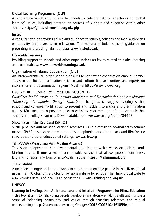# Global Learning Programme (GLP)

A programme which aims to enable schools to network with other schools on 'global learning' issues, including drawing on sources of support and expertise within other schools: http://globaldimension.org.uk/glp.

#### Insted

A consultancy that provides advice and guidance to schools, colleges and local authorities on equality and diversity in education. The website includes specific guidance on preventing and tackling Islamophobia: www.insted.co.uk.

#### Lifeworlds Learning

Providing support to schools and other organisations on issues related to global learning and sustainability: www.lifeworldslearning.co.uk.

### Organisation of Islamic Cooperation (OIC)

An intergovernmental organisation that aims to strengthen cooperation among member states in the fields of education, science and culture. It also monitors and reports on intolerance and discrimination against Muslims: http://www.oic-oci.org.

## OSCE/ODIHR, Council of Europe, UNESCO (2011)

*Guidelines for Educators on Countering Intolerance and Discrimination against Muslims: Addressing Islamophobia through Education*. The guidance suggests strategies that schools and colleges might adopt to prevent and tackle intolerance and discrimination against Muslims. It also provides links to websites, resources and information tools that schools and colleges can use. Downloadable from: www.osce.org/odihr/84495.

#### Show Racism the Red Card (SRtRC)

SRtRC produces anti-racist educational resources, using professional footballers to combat racism. SRtRC has also produced an anti-Islamophobia educational pack and film for use in schools and other educational settings: www.srtrc.org.

#### Tell MAMA (Measuring Anti-Muslim Attacks)

This is an independent, non-governmental organisation which works on tackling anti-Muslim hatred. It runs a secure and reliable service that allows people from across England to report any form of anti-Muslim abuse: https://tellmamauk.org.

#### Think Global

A membership organisation that works to educate and engage people in the UK on global issues. Think Global runs a global dimensions website for schools. The Think Global website also provides details of local DECs across the UK: www.think-global.org.uk.

#### **UNESCO**

## Learning to Live Together: An Intercultural and Interfaith Programme for Ethics Education

– this toolkit aims to help young people develop ethical decision-making skills and nurture a sense of belonging, community and values through teaching tolerance and mutual understanding: http://unesdoc.unesco.org/images/0016/001610/161059e.pdf.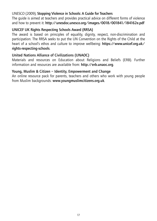## UNESCO (2009), Stopping Violence in Schools: A Guide for Teachers

The guide is aimed at teachers and provides practical advice on different forms of violence and how to prevent it: http://unesdoc.unesco.org/images/0018/001841/184162e.pdf

### UNICEF UK Rights Respecting Schools Award (RRSA)

The award is based on principles of equality, dignity, respect, non-discrimination and participation. The RRSA seeks to put the UN Convention on the Rights of the Child at the heart of a school's ethos and culture to improve wellbeing: https://www.unicef.org.uk/ rights-respecting-schools.

### United Nations Alliance of Civilizations (UNAOC)

Materials and resources on Education about Religions and Beliefs (ERB). Further information and resources are available from: http://erb.unaoc.org.

#### Young, Muslim & Citizen – Identity, Empowerment and Change

An online resource pack for parents, teachers and others who work with young people from Muslim backgrounds: www.youngmuslimcitizens.org.uk.